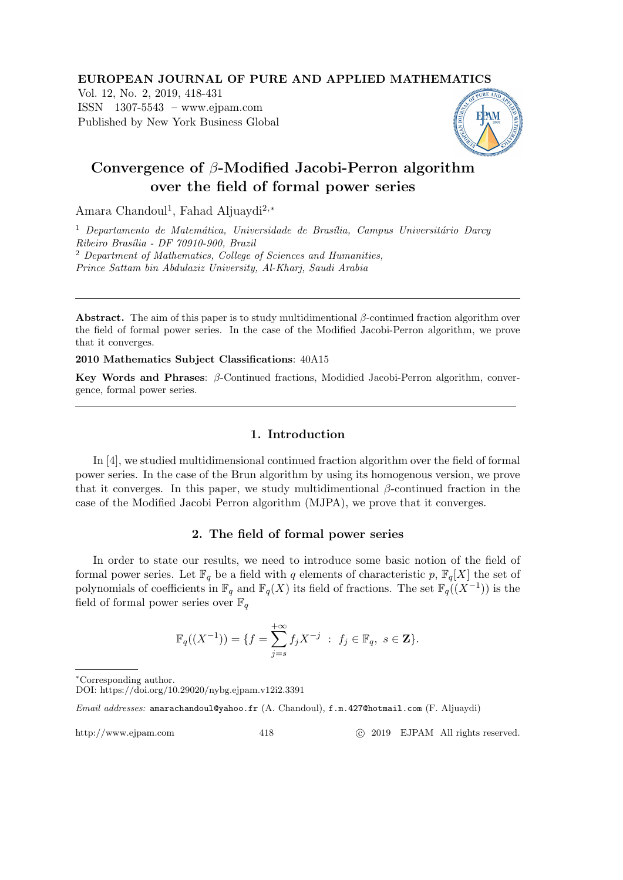#### EUROPEAN JOURNAL OF PURE AND APPLIED MATHEMATICS

Vol. 12, No. 2, 2019, 418-431 ISSN 1307-5543 – www.ejpam.com Published by New York Business Global



# Convergence of β-Modified Jacobi-Perron algorithm over the field of formal power series

Amara Chandoul<sup>1</sup>, Fahad Aljuaydi<sup>2,∗</sup>

<sup>1</sup> Departamento de Matemática, Universidade de Brasília, Campus Universitário Darcy Ribeiro Brasília - DF 70910-900, Brazil <sup>2</sup> Department of Mathematics, College of Sciences and Humanities, Prince Sattam bin Abdulaziz University, Al-Kharj, Saudi Arabia

**Abstract.** The aim of this paper is to study multidimentional  $\beta$ -continued fraction algorithm over the field of formal power series. In the case of the Modified Jacobi-Perron algorithm, we prove that it converges.

2010 Mathematics Subject Classifications: 40A15

Key Words and Phrases: β-Continued fractions, Modidied Jacobi-Perron algorithm, convergence, formal power series.

## 1. Introduction

In [4], we studied multidimensional continued fraction algorithm over the field of formal power series. In the case of the Brun algorithm by using its homogenous version, we prove that it converges. In this paper, we study multidimentional  $\beta$ -continued fraction in the case of the Modified Jacobi Perron algorithm (MJPA), we prove that it converges.

## 2. The field of formal power series

In order to state our results, we need to introduce some basic notion of the field of formal power series. Let  $\mathbb{F}_q$  be a field with q elements of characteristic p,  $\mathbb{F}_q[X]$  the set of polynomials of coefficients in  $\mathbb{F}_q$  and  $\mathbb{F}_q(X)$  its field of fractions. The set  $\mathbb{F}_q((X^{-1}))$  is the field of formal power series over  $\mathbb{F}_q$ 

$$
\mathbb{F}_q((X^{-1})) = \{ f = \sum_{j=s}^{+\infty} f_j X^{-j} \; : \; f_j \in \mathbb{F}_q, \; s \in \mathbf{Z} \}.
$$

Email addresses: amarachandoul@yahoo.fr (A. Chandoul), f.m.427@hotmail.com (F. Aljuaydi)

http://www.ejpam.com 418 c 2019 EJPAM All rights reserved.

<sup>∗</sup>Corresponding author.

DOI: https://doi.org/10.29020/nybg.ejpam.v12i2.3391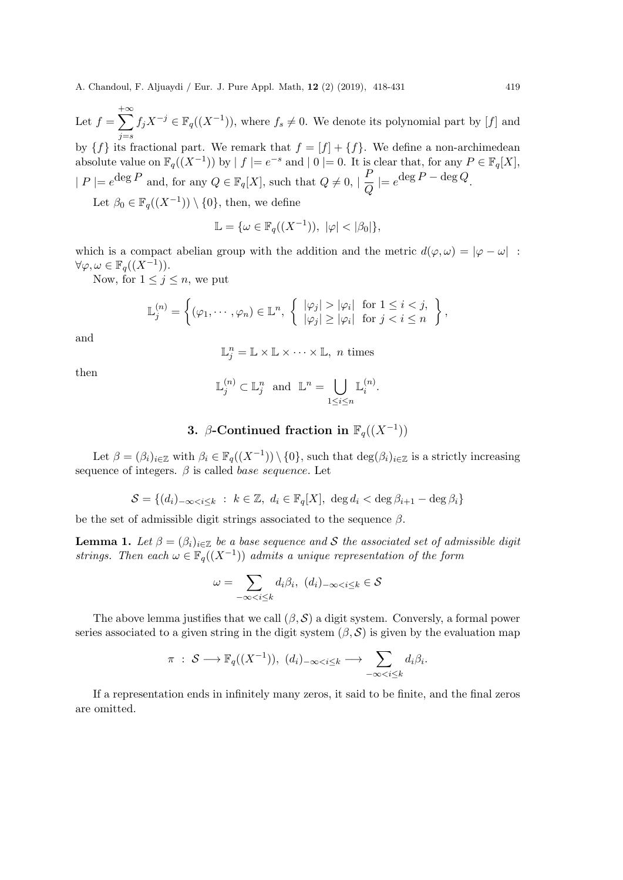Let  $f = \sum$  $+\infty$  $j = s$  $f_jX^{-j} \in \mathbb{F}_q((X^{-1}))$ , where  $f_s \neq 0$ . We denote its polynomial part by [f] and by  ${f}$  its fractional part. We remark that  $f = [f] + {f}$ . We define a non-archimedean absolute value on  $\mathbb{F}_q((X^{-1}))$  by  $| f | = e^{-s}$  and  $| 0 | = 0$ . It is clear that, for any  $P \in \mathbb{F}_q[X]$ ,  $| P | = e^{\deg P}$  and, for any  $Q \in \mathbb{F}_q[X]$ , such that  $Q \neq 0, |\frac{P}{Q}|$  $\frac{P}{Q} \mid = e^{\deg P} - \deg Q$ . Let  $\beta_0 \in \mathbb{F}_q((X^{-1})) \setminus \{0\}$ , then, we define

$$
\mathbb{L} = \{ \omega \in \mathbb{F}_q((X^{-1})), \ |\varphi| < |\beta_0| \},\
$$

which is a compact abelian group with the addition and the metric  $d(\varphi, \omega) = |\varphi - \omega|$ :  $\forall \varphi, \omega \in \mathbb{F}_q((X^{-1})).$ 

Now, for  $1 \leq j \leq n$ , we put

$$
\mathbb{L}_{j}^{(n)} = \left\{ (\varphi_{1}, \cdots, \varphi_{n}) \in \mathbb{L}^{n}, \ \left\{ \begin{array}{l} |\varphi_{j}| > |\varphi_{i}| \ \text{ for } 1 \leq i < j, \\ |\varphi_{j}| \geq |\varphi_{i}| \ \text{ for } j < i \leq n \end{array} \right\},\right.
$$

and

 $\mathbb{L}_{j}^{n} = \mathbb{L} \times \mathbb{L} \times \cdots \times \mathbb{L}, n$  times

then

$$
\mathbb{L}_j^{(n)} \subset \mathbb{L}_j^n \text{ and } \mathbb{L}^n = \bigcup_{1 \le i \le n} \mathbb{L}_i^{(n)}.
$$

## 3. β-Continued fraction in  $\mathbb{F}_q((X^{-1}))$

Let  $\beta = (\beta_i)_{i \in \mathbb{Z}}$  with  $\beta_i \in \mathbb{F}_q((X^{-1})) \setminus \{0\}$ , such that  $\deg(\beta_i)_{i \in \mathbb{Z}}$  is a strictly increasing sequence of integers.  $\beta$  is called base sequence. Let

$$
\mathcal{S} = \{(d_i)_{-\infty < i \leq k} : k \in \mathbb{Z}, d_i \in \mathbb{F}_q[X], \deg d_i < \deg \beta_{i+1} - \deg \beta_i\}
$$

be the set of admissible digit strings associated to the sequence  $\beta$ .

**Lemma 1.** Let  $\beta = (\beta_i)_{i \in \mathbb{Z}}$  be a base sequence and S the associated set of admissible digit strings. Then each  $\omega \in \mathbb{F}_q((X^{-1}))$  admits a unique representation of the form

$$
\omega = \sum_{-\infty < i \leq k} d_i \beta_i, \ (d_i)_{-\infty < i \leq k} \in \mathcal{S}
$$

The above lemma justifies that we call  $(\beta, \mathcal{S})$  a digit system. Conversly, a formal power series associated to a given string in the digit system  $(\beta, \mathcal{S})$  is given by the evaluation map

$$
\pi \; : \; S \longrightarrow \mathbb{F}_q((X^{-1})), \; (d_i)_{-\infty < i \leq k} \longrightarrow \sum_{-\infty < i \leq k} d_i \beta_i.
$$

If a representation ends in infinitely many zeros, it said to be finite, and the final zeros are omitted.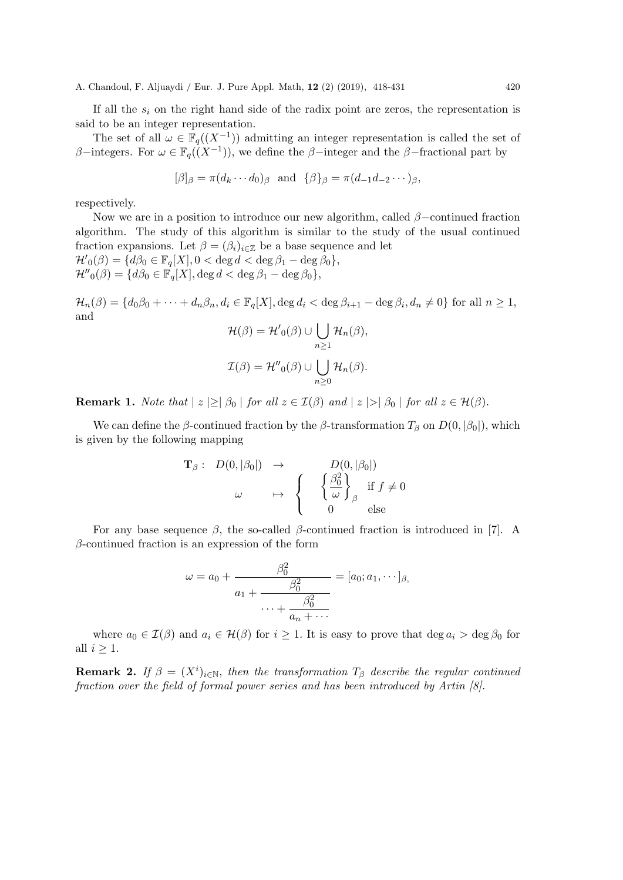If all the  $s_i$  on the right hand side of the radix point are zeros, the representation is said to be an integer representation.

The set of all  $\omega \in \mathbb{F}_q((X^{-1}))$  admitting an integer representation is called the set of β−integers. For  $ω ∈ \mathbb{F}_q((X-1))$ , we define the β−integer and the β-fractional part by

$$
[\beta]_{\beta} = \pi(d_k \cdots d_0)_{\beta}
$$
 and  $\{\beta\}_{\beta} = \pi(d_{-1}d_{-2} \cdots)_{\beta}$ ,

respectively.

Now we are in a position to introduce our new algorithm, called  $\beta$ –continued fraction algorithm. The study of this algorithm is similar to the study of the usual continued fraction expansions. Let  $\beta = (\beta_i)_{i \in \mathbb{Z}}$  be a base sequence and let  $\mathcal{H}'_0(\beta) = \{d\beta_0 \in \mathbb{F}_q[X], 0 < \deg d < \deg \beta_1 - \deg \beta_0\},\$  $\mathcal{H}''_0(\beta) = \{d\beta_0 \in \mathbb{F}_q[X], \deg d < \deg \beta_1 - \deg \beta_0\},\$ 

 $\mathcal{H}_n(\beta) = \{d_0\beta_0 + \cdots + d_n\beta_n, d_i \in \mathbb{F}_q[X], \deg d_i < \deg \beta_{i+1} - \deg \beta_i, d_n \neq 0\}$  for all  $n \geq 1$ , and

$$
\mathcal{H}(\beta) = \mathcal{H}'_0(\beta) \cup \bigcup_{n \ge 1} \mathcal{H}_n(\beta),
$$
  

$$
\mathcal{I}(\beta) = \mathcal{H}''_0(\beta) \cup \bigcup_{n \ge 0} \mathcal{H}_n(\beta).
$$

**Remark 1.** Note that  $|z| \geq |\beta_0|$  for all  $z \in I(\beta)$  and  $|z| > |\beta_0|$  for all  $z \in H(\beta)$ .

We can define the β-continued fraction by the β-transformation  $T_\beta$  on  $D(0, |\beta_0|)$ , which is given by the following mapping

$$
\mathbf{T}_{\beta}: D(0, |\beta_0|) \rightarrow D(0, |\beta_0|)
$$

$$
\omega \mapsto \begin{cases} \begin{array}{c} D(0, |\beta_0|) \\ \omega \end{array} \\ \begin{array}{c} 0 \end{array} \end{cases} \text{if } f \neq 0
$$

For any base sequence  $\beta$ , the so-called  $\beta$ -continued fraction is introduced in [7]. A  $\beta$ -continued fraction is an expression of the form

$$
\omega = a_0 + \frac{\beta_0^2}{a_1 + \frac{\beta_0^2}{\cdots + \frac{\beta_0^2}{a_n + \cdots}}} = [a_0; a_1, \cdots]_{\beta},
$$

where  $a_0 \in \mathcal{I}(\beta)$  and  $a_i \in \mathcal{H}(\beta)$  for  $i \geq 1$ . It is easy to prove that  $\deg a_i > \deg \beta_0$  for all  $i \geq 1$ .

**Remark 2.** If  $\beta = (X^i)_{i \in \mathbb{N}}$ , then the transformation  $T_\beta$  describe the regular continued fraction over the field of formal power series and has been introduced by Artin [8].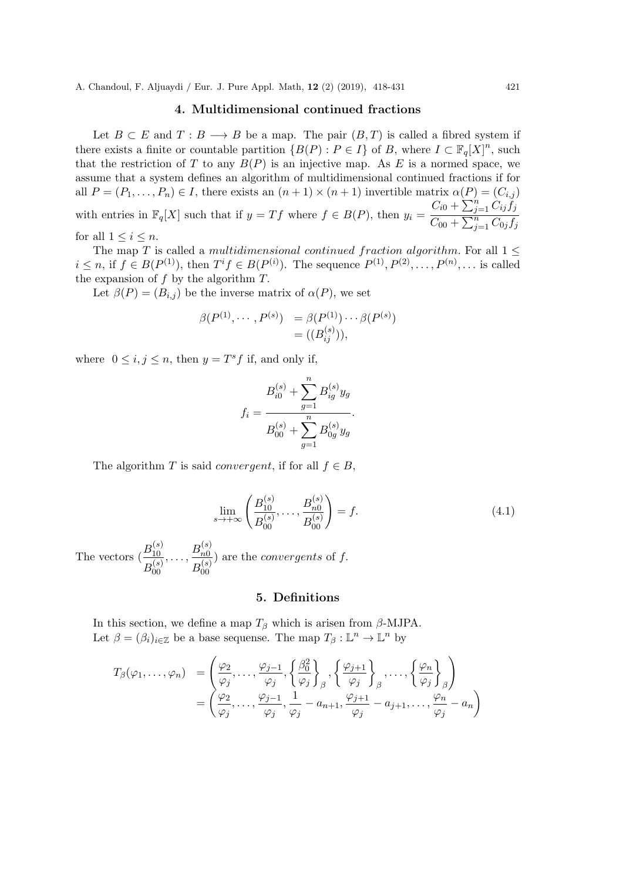#### 4. Multidimensional continued fractions

Let  $B \subset E$  and  $T : B \longrightarrow B$  be a map. The pair  $(B,T)$  is called a fibred system if there exists a finite or countable partition  $\{B(P) : P \in I\}$  of B, where  $I \subset \mathbb{F}_q[X]^n$ , such that the restriction of T to any  $B(P)$  is an injective map. As E is a normed space, we assume that a system defines an algorithm of multidimensional continued fractions if for all  $P = (P_1, \ldots, P_n) \in I$ , there exists an  $(n + 1) \times (n + 1)$  invertible matrix  $\alpha(P) = (C_{i,j})$ with entries in  $\mathbb{F}_q[X]$  such that if  $y = Tf$  where  $f \in B(P)$ , then  $y_i = \frac{C_{i0} + \sum_{j=1}^n C_{ij} f_j}{C}$  $C_{00} + \sum_{j=1}^{n} C_{0j} f_j$ 

for all  $1 \leq i \leq n$ .

The map T is called a multidimensional continued fraction algorithm. For all  $1 \leq$  $i \leq n$ , if  $f \in B(P^{(1)})$ , then  $T^{i} f \in B(P^{(i)})$ . The sequence  $P^{(1)}, P^{(2)}, \ldots, P^{(n)}, \ldots$  is called the expansion of  $f$  by the algorithm  $T$ .

Let  $\beta(P) = (B_{i,j})$  be the inverse matrix of  $\alpha(P)$ , we set

$$
\beta(P^{(1)}, \cdots, P^{(s)}) = \beta(P^{(1)}) \cdots \beta(P^{(s)}) = ((B_{ij}^{(s)})),
$$

where  $0 \leq i, j \leq n$ , then  $y = T^s f$  if, and only if,

$$
f_i = \frac{B_{i0}^{(s)} + \sum_{g=1}^{n} B_{ig}^{(s)} y_g}{B_{00}^{(s)} + \sum_{g=1}^{n} B_{0g}^{(s)} y_g}.
$$

The algorithm T is said *convergent*, if for all  $f \in B$ ,

$$
\lim_{s \to +\infty} \left( \frac{B_{10}^{(s)}}{B_{00}^{(s)}}, \dots, \frac{B_{n0}^{(s)}}{B_{00}^{(s)}} \right) = f. \tag{4.1}
$$

The vectors  $\left(\frac{B_{10}^{(s)}}{a}\right)$ 10  $B_{00}^{(s)}$ 00  $, \ldots, \frac{B_{n0}^{(s)}}{A_{n0}^{(s)}}$  $n<sub>0</sub>$  $B_{00}^{(s)}$ 00 ) are the convergents of f.

#### 5. Definitions

In this section, we define a map  $T_\beta$  which is arisen from  $\beta$ -MJPA. Let  $\beta = (\beta_i)_{i \in \mathbb{Z}}$  be a base sequense. The map  $T_\beta : \mathbb{L}^n \to \mathbb{L}^n$  by

$$
T_{\beta}(\varphi_1, \ldots, \varphi_n) = \left(\frac{\varphi_2}{\varphi_j}, \ldots, \frac{\varphi_{j-1}}{\varphi_j}, \left\{\frac{\beta_0^2}{\varphi_j}\right\}_{\beta}, \left\{\frac{\varphi_{j+1}}{\varphi_j}\right\}_{\beta}, \ldots, \left\{\frac{\varphi_n}{\varphi_j}\right\}_{\beta}\right)
$$
  
= 
$$
\left(\frac{\varphi_2}{\varphi_j}, \ldots, \frac{\varphi_{j-1}}{\varphi_j}, \frac{1}{\varphi_j} - a_{n+1}, \frac{\varphi_{j+1}}{\varphi_j} - a_{j+1}, \ldots, \frac{\varphi_n}{\varphi_j} - a_n\right)
$$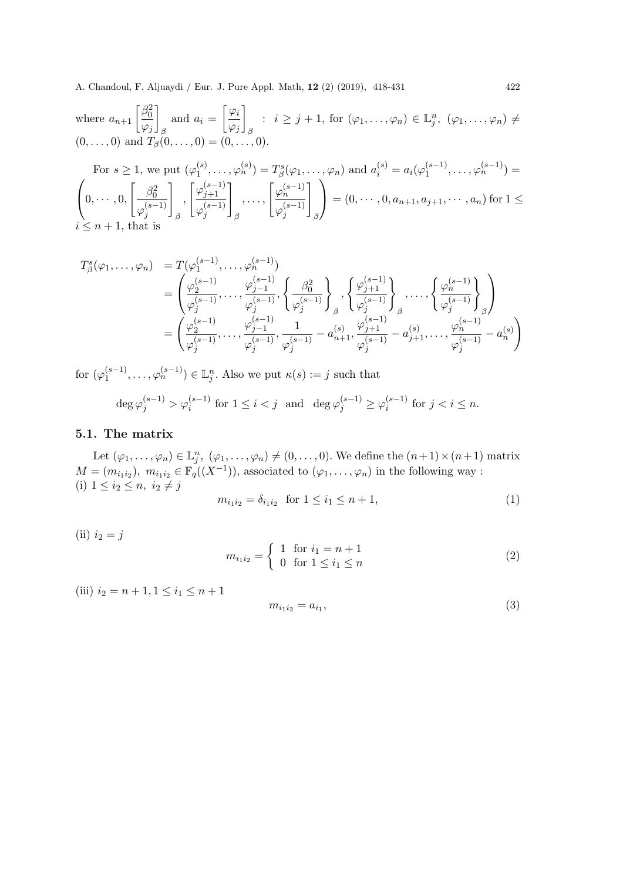where 
$$
a_{n+1} \begin{bmatrix} \frac{\beta_0^2}{\varphi_j} \end{bmatrix}_{\beta}
$$
 and  $a_i = \begin{bmatrix} \varphi_i \\ \varphi_j \end{bmatrix}_{\beta}$ :  $i \geq j+1$ , for  $(\varphi_1, \ldots, \varphi_n) \in \mathbb{L}_j^n$ ,  $(\varphi_1, \ldots, \varphi_n) \neq$   
 $(0, \ldots, 0)$  and  $T_\beta(0, \ldots, 0) = (0, \ldots, 0)$ .

For 
$$
s \geq 1
$$
, we put  $(\varphi_1^{(s)}, \ldots, \varphi_n^{(s)}) = T_{\beta}^s(\varphi_1, \ldots, \varphi_n)$  and  $a_i^{(s)} = a_i(\varphi_1^{(s-1)}, \ldots, \varphi_n^{(s-1)}) =$  $\left(0, \ldots, 0, \left[\frac{\beta_0^2}{\varphi_j^{(s-1)}}\right]_{\beta}, \left[\frac{\varphi_{j+1}^{(s-1)}}{\varphi_j^{(s-1)}}\right]_{\beta}, \ldots, \left[\frac{\varphi_n^{(s-1)}}{\varphi_j^{(s-1)}}\right]_{\beta}\right) = (0, \ldots, 0, a_{n+1}, a_{j+1}, \ldots, a_n)$  for  $1 \leq i \leq n+1$ , that is

$$
T_{\beta}^{s}(\varphi_{1}, \ldots, \varphi_{n}) = T(\varphi_{1}^{(s-1)}, \ldots, \varphi_{n}^{(s-1)})
$$
\n
$$
= \left(\frac{\varphi_{2}^{(s-1)}}{\varphi_{j}^{(s-1)}}, \ldots, \frac{\varphi_{j-1}^{(s-1)}}{\varphi_{j}^{(s-1)}}, \left\{\frac{\beta_{0}^{2}}{\varphi_{j}^{(s-1)}}\right\}_{\beta}, \left\{\frac{\varphi_{j+1}^{(s-1)}}{\varphi_{j}^{(s-1)}}\right\}_{\beta}, \ldots, \left\{\frac{\varphi_{n}^{(s-1)}}{\varphi_{j}^{(s-1)}}\right\}_{\beta}
$$
\n
$$
= \left(\frac{\varphi_{2}^{(s-1)}}{\varphi_{j}^{(s-1)}}, \ldots, \frac{\varphi_{j-1}^{(s-1)}}{\varphi_{j}^{(s-1)}}, \frac{1}{\varphi_{j}^{(s-1)}} - a_{n+1}^{(s)}, \frac{\varphi_{j+1}^{(s-1)}}{\varphi_{j}^{(s-1)}} - a_{j+1}^{(s)}, \ldots, \frac{\varphi_{n}^{(s-1)}}{\varphi_{j}^{(s-1)}} - a_{n}^{(s)}\right)
$$

for  $(\varphi_1^{(s-1)}$  $\mathcal{L}_{1}^{(s-1)}, \ldots, \varphi_{n}^{(s-1)}$   $\in \mathbb{L}_{j}^{n}$ . Also we put  $\kappa(s) := j$  such that

$$
\deg \varphi_j^{(s-1)} > \varphi_i^{(s-1)} \text{ for } 1 \le i < j \text{ and } \deg \varphi_j^{(s-1)} \ge \varphi_i^{(s-1)} \text{ for } j < i \le n.
$$

## 5.1. The matrix

Let  $(\varphi_1,\ldots,\varphi_n)\in \mathbb{L}^n_j$ ,  $(\varphi_1,\ldots,\varphi_n)\neq (0,\ldots,0)$ . We define the  $(n+1)\times (n+1)$  matrix  $M = (m_{i_1 i_2}), m_{i_1 i_2} \in \mathbb{F}_q((X^{-1})),$  associated to  $(\varphi_1, \ldots, \varphi_n)$  in the following way : (i)  $1 \le i_2 \le n, i_2 \ne j$ 

$$
m_{i_1 i_2} = \delta_{i_1 i_2} \text{ for } 1 \le i_1 \le n+1,
$$
\n(1)

(ii)  $i_2 = j$ 

$$
m_{i_1 i_2} = \begin{cases} 1 & \text{for } i_1 = n + 1 \\ 0 & \text{for } 1 \le i_1 \le n \end{cases}
$$
 (2)

(iii)  $i_2 = n + 1, 1 \leq i_1 \leq n + 1$ 

$$
m_{i_1 i_2} = a_{i_1},\tag{3}
$$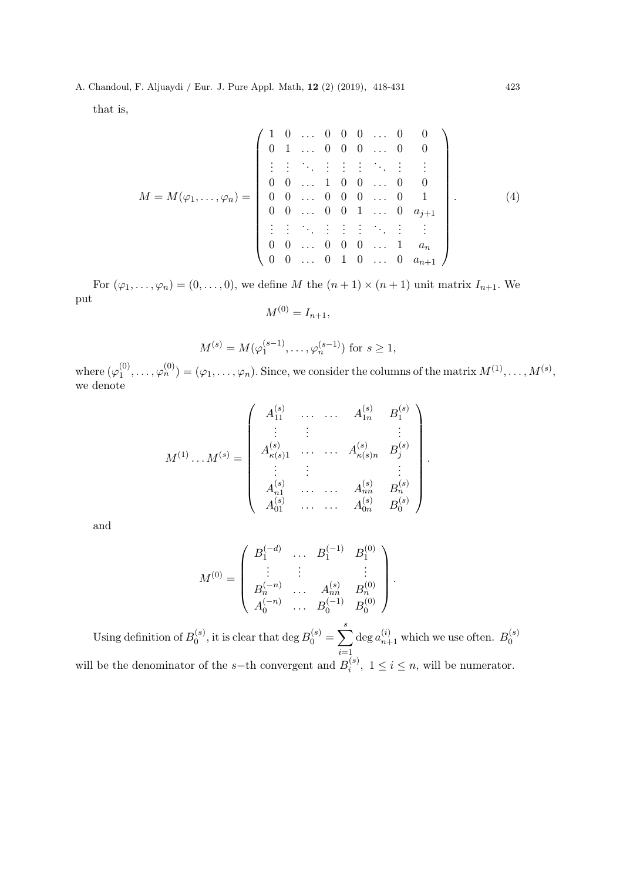that is,

$$
M = M(\varphi_1, ..., \varphi_n) = \begin{pmatrix} 1 & 0 & \dots & 0 & 0 & 0 & \dots & 0 & 0 \\ 0 & 1 & \dots & 0 & 0 & 0 & \dots & 0 & 0 \\ \vdots & \vdots & \ddots & \vdots & \vdots & \vdots & \ddots & \vdots & \vdots \\ 0 & 0 & \dots & 1 & 0 & 0 & \dots & 0 & 0 \\ 0 & 0 & \dots & 0 & 0 & 1 & \dots & 0 & a_{j+1} \\ \vdots & \vdots & \ddots & \vdots & \vdots & \vdots & \ddots & \vdots & \vdots \\ 0 & 0 & \dots & 0 & 0 & 0 & \dots & 1 & a_n \\ 0 & 0 & \dots & 0 & 1 & 0 & \dots & 0 & a_{n+1} \end{pmatrix} . \tag{4}
$$

For  $(\varphi_1, \ldots, \varphi_n) = (0, \ldots, 0)$ , we define M the  $(n + 1) \times (n + 1)$  unit matrix  $I_{n+1}$ . We put

$$
M^{(0)} = I_{n+1},
$$

$$
M^{(s)} = M(\varphi_1^{(s-1)}, \dots, \varphi_n^{(s-1)}) \text{ for } s \ge 1,
$$

where  $(\varphi_1^{(0)}$  $\mathcal{L}^{(0)}_1,\ldots,\varphi^{(0)}_n)=(\varphi_1,\ldots,\varphi_n).$  Since, we consider the columns of the matrix  $M^{(1)},\ldots,M^{(s)},$ we denote

.

$$
M^{(1)} \dots M^{(s)} = \begin{pmatrix} A_{11}^{(s)} & \cdots & A_{1n}^{(s)} & B_1^{(s)} \\ \vdots & \vdots & & \vdots & \vdots \\ A_{\kappa(s)1}^{(s)} & \cdots & A_{\kappa(s)n}^{(s)} & B_j^{(s)} \\ \vdots & \vdots & & \vdots & \vdots \\ A_{n1}^{(s)} & \cdots & A_{nn}^{(s)} & B_n^{(s)} \\ A_{01}^{(s)} & \cdots & A_{0n}^{(s)} & B_0^{(s)} \end{pmatrix}
$$

and

$$
M^{(0)} = \begin{pmatrix} B_1^{(-d)} & \dots & B_1^{(-1)} & B_1^{(0)} \\ \vdots & \vdots & & \vdots \\ B_n^{(-n)} & \dots & A_{nn}^{(s)} & B_n^{(0)} \\ A_0^{(-n)} & \dots & B_0^{(-1)} & B_0^{(0)} \end{pmatrix}.
$$

Using definition of  $B_0^{(s)}$  $\mathbf{a}_{0}^{(s)}$ , it is clear that  $\deg B_{0}^{(s)} = \sum_{s=1}^{s}$  $i=1$ deg  $a_{n+1}^{(i)}$  which we use often.  $B_0^{(s)}$  $\overline{0}$ will be the denominator of the s–th convergent and  $B_i^{(s)}$  $i^{(s)}$ ,  $1 \leq i \leq n$ , will be numerator.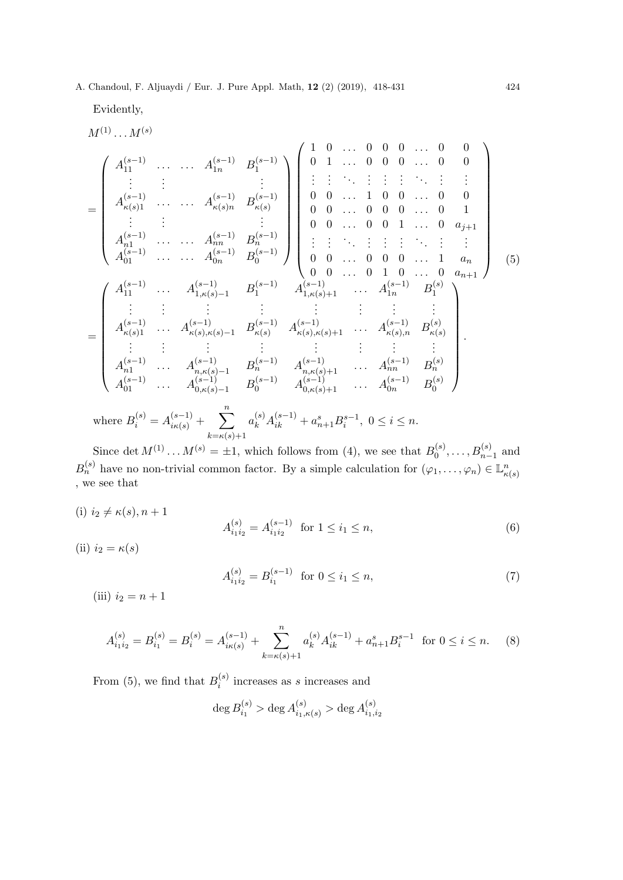Evidently,

$$
M^{(1)} \dots M^{(s)}
$$
\n
$$
= \begin{pmatrix}\nA_{11}^{(s-1)} & \cdots & A_{1n}^{(s-1)} & B_{1}^{(s-1)} \\
\vdots & \vdots & & \vdots \\
A_{\kappa(s)1}^{(s-1)} & \cdots & A_{\kappa(s)n}^{(s-1)} & B_{\kappa(s)}^{(s-1)} \\
\vdots & \vdots & & \vdots \\
A_{n1}^{(s-1)} & \cdots & A_{nn}^{(s-1)} & B_{n}^{(s-1)} \\
A_{01}^{(s-1)} & \cdots & A_{0n}^{(s-1)} & B_{0}^{(s-1)} \\
\vdots & & \vdots & & \vdots \\
A_{n1}^{(s-1)} & \cdots & A_{0n}^{(s-1)} & B_{0}^{(s-1)} \\
\vdots & \vdots & \ddots & \vdots & \vdots \\
A_{n1}^{(s-1)} & \cdots & A_{0n}^{(s-1)} & B_{0}^{(s-1)} \\
\vdots & \vdots & \ddots & \vdots & \vdots \\
A_{n1}^{(s-1)} & \cdots & A_{n,\kappa(s)-1}^{(s-1)} & B_{1}^{(s-1)} & A_{1,\kappa(s)+1}^{(s-1)} & \cdots & A_{1n}^{(s-1)} & B_{1}^{(s)} \\
\vdots & \vdots & \vdots & \vdots & \vdots \\
A_{\kappa(s)1}^{(s-1)} & \cdots & A_{\kappa(s),\kappa(s)-1}^{(s-1)} & B_{\kappa(s)}^{(s-1)} & A_{\kappa(s),\kappa(s)+1}^{(s-1)} & \cdots & A_{\kappa(s),n}^{(s-1)} & B_{\kappa(s)}^{(s)} \\
\vdots & \vdots & & \vdots & \vdots & \vdots \\
A_{n1}^{(s-1)} & \cdots & A_{n,\kappa(s)-1}^{(s-1)} & B_{n}^{(s-1)} & A_{n,\kappa(s)+1}^{(s-1)} & \cdots & A_{n}^{(s-1)} & B_{n}^{(s)} \\
A_{01}^{(s-1)} & \cdots & A_{0,\kappa(s)-1}^{(s-1)} & B_{0}^{(s-1)} & A_{0,\kappa(s)+1}^{(s-1)} & \cdots & A_{0n}^{(s-1)} & B_{0}^{(s)} \\
\
$$

Since det  $M^{(1)} \dots M^{(s)} = \pm 1$ , which follows from (4), we see that  $B_0^{(s)}$  $b_0^{(s)}, \ldots, B_{n-1}^{(s)}$  and  $B_n^{(s)}$  have no non-trivial common factor. By a simple calculation for  $(\varphi_1,\ldots,\varphi_n)\in L_{\kappa(s)}^n$ , we see that

(i)  $i_2 \neq \kappa(s), n + 1$  $A^{(s)}_{i,j}$  $\binom{s}{i_1 i_2} = A^{(s-1)}_{i_1 i_2}$  $\sum_{i_1 i_2}^{(s-1)}$  for  $1 \leq i_1 \leq n$ , (6)

(ii)  $i_2 = \kappa(s)$ 

$$
A_{i_1 i_2}^{(s)} = B_{i_1}^{(s-1)} \quad \text{for } 0 \le i_1 \le n,
$$
\n<sup>(7)</sup>

(iii)  $i_2 = n + 1$ 

$$
A_{i_1 i_2}^{(s)} = B_{i_1}^{(s)} = B_i^{(s)} = A_{i\kappa(s)}^{(s-1)} + \sum_{k=\kappa(s)+1}^{n} a_k^{(s)} A_{ik}^{(s-1)} + a_{n+1}^s B_i^{s-1} \text{ for } 0 \le i \le n. \tag{8}
$$

From (5), we find that  $B_i^{(s)}$  $i^{(s)}$  increases as s increases and

$$
\deg B_{i_1}^{(s)} > \deg A_{i_1,\kappa(s)}^{(s)} > \deg A_{i_1,i_2}^{(s)}
$$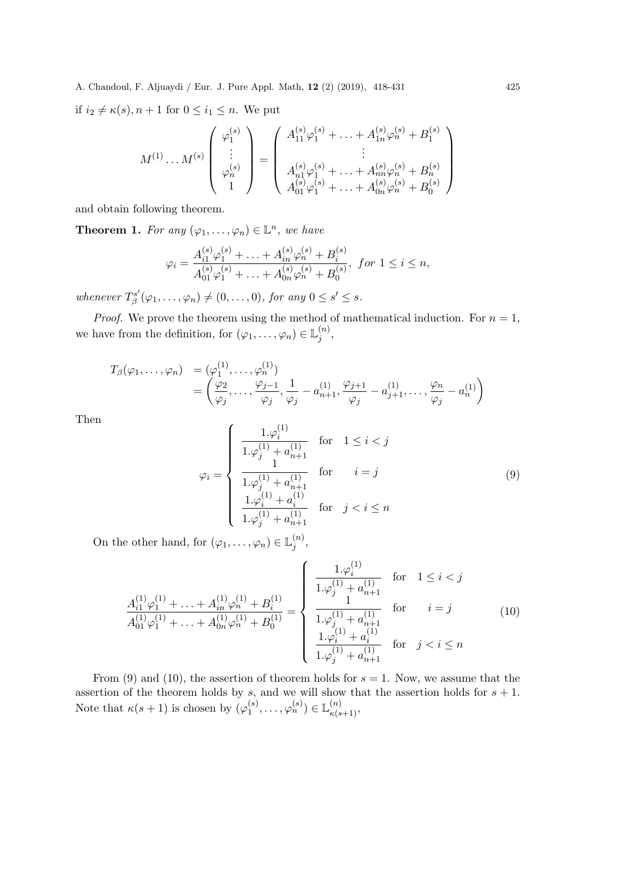if  $i_2 \neq \kappa(s)$ ,  $n + 1$  for  $0 \leq i_1 \leq n$ . We put

$$
M^{(1)} \dots M^{(s)} \begin{pmatrix} \varphi_1^{(s)} \\ \vdots \\ \varphi_n^{(s)} \\ 1 \end{pmatrix} = \begin{pmatrix} A_{11}^{(s)} \varphi_1^{(s)} + \dots + A_{1n}^{(s)} \varphi_n^{(s)} + B_1^{(s)} \\ \vdots \\ A_{n1}^{(s)} \varphi_1^{(s)} + \dots + A_{nn}^{(s)} \varphi_n^{(s)} + B_n^{(s)} \\ A_{01}^{(s)} \varphi_1^{(s)} + \dots + A_{0n}^{(s)} \varphi_n^{(s)} + B_0^{(s)} \end{pmatrix}
$$

and obtain following theorem.

**Theorem 1.** For any  $(\varphi_1, \ldots, \varphi_n) \in \mathbb{L}^n$ , we have

$$
\varphi_i = \frac{A_{i1}^{(s)}\varphi_1^{(s)} + \ldots + A_{in}^{(s)}\varphi_n^{(s)} + B_i^{(s)}}{A_{01}^{(s)}\varphi_1^{(s)} + \ldots + A_{0n}^{(s)}\varphi_n^{(s)} + B_0^{(s)}}, \text{ for } 1 \le i \le n,
$$

whenever  $T^{s'}_{\beta}$  $S_{\beta}^{s'}(\varphi_1,\ldots,\varphi_n)\neq (0,\ldots,0)$ , for any  $0\leq s'\leq s$ .

*Proof.* We prove the theorem using the method of mathematical induction. For  $n = 1$ , we have from the definition, for  $(\varphi_1, \ldots, \varphi_n) \in \mathbb{L}_i^{(n)}$  $j^{(n)},$ 

$$
T_{\beta}(\varphi_1,\ldots,\varphi_n) = (\varphi_1^{(1)},\ldots,\varphi_n^{(1)})
$$
  
=  $\left(\frac{\varphi_2}{\varphi_j},\ldots,\frac{\varphi_{j-1}}{\varphi_j},\frac{1}{\varphi_j} - a_{n+1}^{(1)},\frac{\varphi_{j+1}}{\varphi_j} - a_{j+1}^{(1)},\ldots,\frac{\varphi_n}{\varphi_j} - a_n^{(1)}\right)$ 

Then

$$
\varphi_i = \begin{cases}\n\frac{1 \cdot \varphi_i^{(1)}}{1 \cdot \varphi_j^{(1)} + a_{n+1}^{(1)}} & \text{for} \quad 1 \le i < j \\
\frac{1}{1 \cdot \varphi_j^{(1)} + a_{n+1}^{(1)}} & \text{for} \quad i = j \\
\frac{1 \cdot \varphi_i^{(1)} + a_i^{(1)}}{1 \cdot \varphi_j^{(1)} + a_{n+1}^{(1)}} & \text{for} \quad j < i \le n\n\end{cases} \tag{9}
$$

On the other hand, for  $(\varphi_1, \ldots, \varphi_n) \in \mathbb{L}_i^{(n)}$  $\binom{n}{j}$ 

$$
\frac{A_{i1}^{(1)}\varphi_1^{(1)} + \ldots + A_{in}^{(1)}\varphi_n^{(1)} + B_i^{(1)}}{A_{01}^{(1)}\varphi_1^{(1)} + \ldots + A_{0n}^{(1)}\varphi_n^{(1)} + B_0^{(1)}} = \begin{cases}\n\frac{1.\varphi_i^{(1)}}{1.\varphi_j^{(1)} + a_{n+1}^{(1)}} & \text{for} \quad 1 \le i < j \\
\frac{1}{1.\varphi_j^{(1)} + a_{n+1}^{(1)}} & \text{for} \quad i = j \\
\frac{1.\varphi_i^{(1)} + a_i^{(1)}}{1.\varphi_j^{(1)} + a_{n+1}^{(1)}} & \text{for} \quad j < i \le n\n\end{cases} \tag{10}
$$

From (9) and (10), the assertion of theorem holds for  $s = 1$ . Now, we assume that the assertion of the theorem holds by s, and we will show that the assertion holds for  $s + 1$ . Note that  $\kappa(s+1)$  is chosen by  $(\varphi_1^{(s)})$  $\mathcal{L}_{1}^{(s)}, \ldots, \varphi_{n}^{(s)}\rangle \in \mathbb{L}_{\kappa(s+1)}^{(n)},$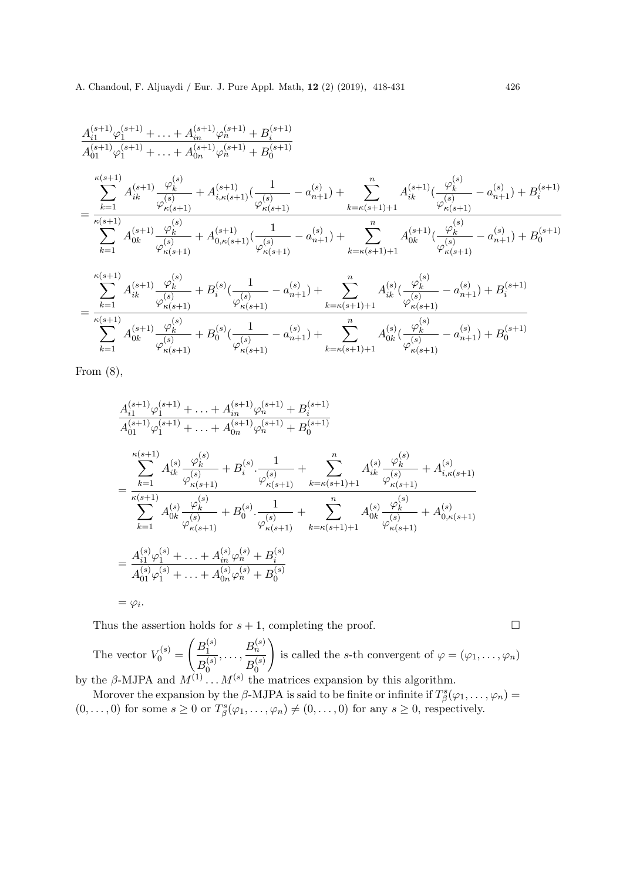$$
\begin{split} &\frac{A_{i1}^{(s+1)}\varphi_1^{(s+1)} + \ldots + A_{in}^{(s+1)}\varphi_n^{(s+1)} + B_i^{(s+1)} }{A_{01}^{(s+1)}\varphi_1^{(s+1)} + \ldots + A_{0n}^{(s+1)}\varphi_n^{(s+1)} + B_0^{(s+1)}} \\ &= \sum_{\kappa=1}^{\kappa(s+1)} A_{ik}^{(s+1)} \frac{\varphi_k^{(s)}}{\varphi_{\kappa(s+1)}^{(s)}} + A_{i,\kappa(s+1)}^{(s+1)}(\frac{1}{\varphi_{\kappa(s+1)}^{(s)}} - a_{n+1}^{(s)}) + \sum_{k=\kappa(s+1)+1}^n A_{ik}^{(s+1)}(\frac{\varphi_k^{(s)}}{\varphi_{\kappa(s+1)}^{(s)}} - a_{n+1}^{(s)}) + B_i^{(s+1)} \\ &\sum_{k=1}^{\kappa(s+1)} A_{0k}^{(s+1)} \frac{\varphi_k^{(s)}}{\varphi_{\kappa(s+1)}^{(s)}} + A_{0,\kappa(s+1)}^{(s+1)}(\frac{1}{\varphi_{\kappa(s+1)}^{(s)}} - a_{n+1}^{(s)}) + \sum_{k=\kappa(s+1)+1}^n A_{0k}^{(s+1)}(\frac{\varphi_k^{(s)}}{\varphi_{\kappa(s+1)}^{(s)}} - a_{n+1}^{(s)}) + B_0^{(s+1)} \\ &= \sum_{\kappa=1}^{\kappa(s+1)} A_{ik}^{(s+1)} \frac{\varphi_k^{(s)}}{\varphi_{\kappa(s+1)}^{(s)}} + B_i^{(s)}(\frac{1}{\varphi_{\kappa(s+1)}^{(s)}} - a_{n+1}^{(s)}) + \sum_{k=\kappa(s+1)+1}^n A_{ik}^{(s)}(\frac{\varphi_k^{(s)}}{\varphi_{\kappa(s+1)}^{(s)}} - a_{n+1}^{(s)}) + B_i^{(s+1)} \\ &\sum_{k=1}^{\kappa(s+1)} A_{0k}^{(s+1)} \frac{\varphi_k^{(s)}}{\varphi_{\kappa(s+1)}^{(s)}} + B_0^{(s)}(\frac{1}{\varphi_{\kappa(s+1)}^{(s)}} - a_{n+1}^{(s)}) + \sum_{k=\kappa(s+1)+1}^n A_{0k}^{(s)}(\frac{\varphi_k^{(s)}}
$$

From  $(8)$ ,

$$
\frac{A_{i1}^{(s+1)}\varphi_1^{(s+1)} + \ldots + A_{in}^{(s+1)}\varphi_n^{(s+1)} + B_i^{(s+1)} \nA_{01}^{(s+1)}\varphi_1^{(s+1)} + \ldots + A_{0n}^{(s+1)}\varphi_n^{(s+1)} + B_0^{(s+1)} \n= \sum_{k=1}^{\kappa(s+1)} A_{ik}^{(s)} \frac{\varphi_k^{(s)}}{\varphi_{\kappa(s+1)}^{(s)}} + B_i^{(s)} \cdot \frac{1}{\varphi_{\kappa(s+1)}^{(s)}} + \sum_{k=\kappa(s+1)+1}^n A_{ik}^{(s)} \frac{\varphi_k^{(s)}}{\varphi_{\kappa(s+1)}^{(s)}} + A_{i,\kappa(s+1)}^{(s)} \n= \sum_{k=1}^{\kappa(s+1)} A_{0k}^{(s)} \frac{\varphi_k^{(s)}}{\varphi_{\kappa(s+1)}^{(s)}} + B_0^{(s)} \cdot \frac{1}{\varphi_{\kappa(s+1)}^{(s)}} + \sum_{k=\kappa(s+1)+1}^n A_{0k}^{(s)} \frac{\varphi_k^{(s)}}{\varphi_{\kappa(s+1)}^{(s)}} + A_{0,\kappa(s+1)}^{(s)} \n= \frac{A_{i1}^{(s)}\varphi_1^{(s)} + \ldots + A_{in}^{(s)}\varphi_n^{(s)} + B_i^{(s)}}{A_{01}^{(s)}\varphi_1^{(s)}} + \ldots + A_{0n}^{(s)}\varphi_n^{(s)} + B_0^{(s)} \n= \varphi_i.
$$

Thus the assertion holds for  $s + 1$ , completing the proof.

The vector  $V_0^{(s)} =$  $\left( B_1^{(s)} \right)$ 1  $B_0^{(s)}$ 0  $B_n^{(s)}$  $B_0^{(s)}$ 0  $\setminus$ is called the s-th convergent of  $\varphi = (\varphi_1, \ldots, \varphi_n)$ by the  $\beta$ -MJPA and  $M^{(1)} \dots M^{(s)}$  the matrices expansion by this algorithm.

Morover the expansion by the  $\beta$ -MJPA is said to be finite or infinite if  $T^s_\beta(\varphi_1,\ldots,\varphi_n)$  $(0,\ldots,0)$  for some  $s\geq 0$  or  $T_{\beta}^{s}(\varphi_1,\ldots,\varphi_n)\neq (0,\ldots,0)$  for any  $s\geq 0$ , respectively.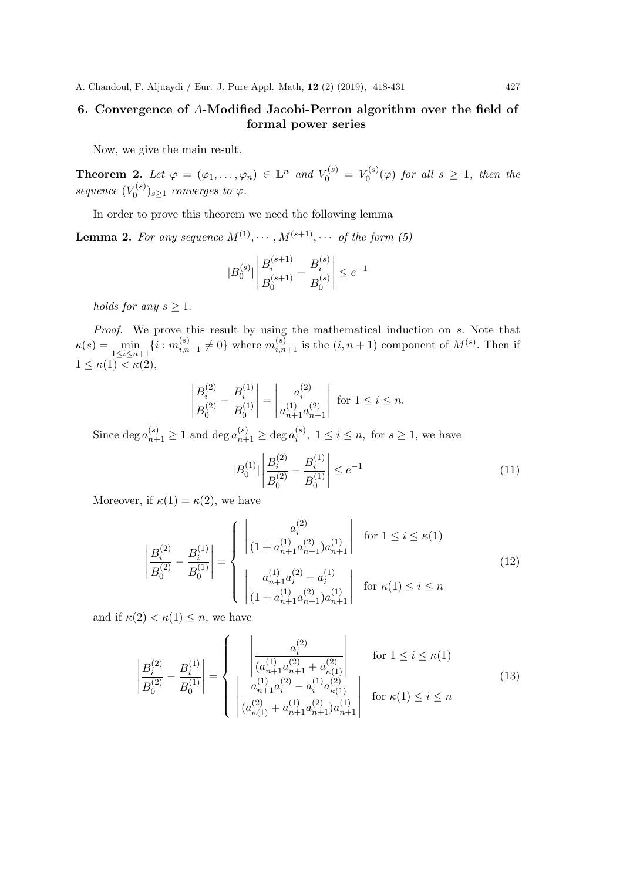## 6. Convergence of A-Modified Jacobi-Perron algorithm over the field of formal power series

Now, we give the main result.

**Theorem 2.** Let  $\varphi = (\varphi_1, \ldots, \varphi_n) \in \mathbb{L}^n$  and  $V_0^{(s)} = V_0^{(s)}$  $\mathcal{O}_0^{(s)}(\varphi)$  for all  $s \geq 1$ , then the sequence  $(V_0^{(s)}$  $\binom{S}{0}$ <sub>s</sub> $\geq$ <sup>1</sup> converges to  $\varphi$ .

In order to prove this theorem we need the following lemma

**Lemma 2.** For any sequence  $M^{(1)}, \cdots, M^{(s+1)}, \cdots$  of the form (5)

$$
|B_0^{(s)}| \left| \frac{B_i^{(s+1)}}{B_0^{(s+1)}} - \frac{B_i^{(s)}}{B_0^{(s)}} \right| \le e^{-1}
$$

holds for any  $s \geq 1$ .

Proof. We prove this result by using the mathematical induction on s. Note that  $\kappa(s) = \min_{1 \leq i \leq n+1} \{i : m_{i,n+1}^{(s)} \neq 0\}$  where  $m_{i,n+1}^{(s)}$  is the  $(i, n+1)$  component of  $M^{(s)}$ . Then if  $1 \leq \kappa(1) < \kappa(2),$ 

$$
\left| \frac{B_i^{(2)}}{B_0^{(2)}} - \frac{B_i^{(1)}}{B_0^{(1)}} \right| = \left| \frac{a_i^{(2)}}{a_{n+1}^{(1)} a_{n+1}^{(2)}} \right| \text{ for } 1 \le i \le n.
$$

Since  $\deg a_{n+1}^{(s)} \ge 1$  and  $\deg a_{n+1}^{(s)} \ge \deg a_i^{(s)}$  $i^{(s)}$ ,  $1 \leq i \leq n$ , for  $s \geq 1$ , we have

$$
|B_0^{(1)}| \left| \frac{B_i^{(2)}}{B_0^{(2)}} - \frac{B_i^{(1)}}{B_0^{(1)}} \right| \le e^{-1}
$$
 (11)

Moreover, if  $\kappa(1) = \kappa(2)$ , we have

$$
\left| \frac{B_i^{(2)}}{B_0^{(2)}} - \frac{B_i^{(1)}}{B_0^{(1)}} \right| = \begin{cases} \left| \frac{a_i^{(2)}}{(1 + a_{n+1}^{(1)} a_{n+1}^{(2)}) a_{n+1}^{(1)}} \right| & \text{for } 1 \le i \le \kappa(1) \\ \left| \frac{a_{n+1}^{(1)} a_i^{(2)} - a_i^{(1)}}{(1 + a_{n+1}^{(1)} a_{n+1}^{(2)}) a_{n+1}^{(1)}} \right| & \text{for } \kappa(1) \le i \le n \end{cases} \tag{12}
$$

and if  $\kappa(2) < \kappa(1) \leq n$ , we have

$$
\left| \frac{B_i^{(2)}}{B_0^{(2)}} - \frac{B_i^{(1)}}{B_0^{(1)}} \right| = \left\{ \begin{array}{c} \left| \frac{a_i^{(2)}}{(a_{n+1}^{(1)} a_{n+1}^{(2)} + a_{\kappa(1)}^{(2)})} \right| & \text{for } 1 \le i \le \kappa(1) \\ \left| \frac{a_{n+1}^{(1)} a_i^{(2)} - a_i^{(1)} a_{\kappa(1)}^{(2)}}{(a_{\kappa(1)}^{(2)} + a_{n+1}^{(1)} a_{n+1}^{(2)}) a_{n+1}^{(1)}} \right| & \text{for } \kappa(1) \le i \le n \end{array} \right. \tag{13}
$$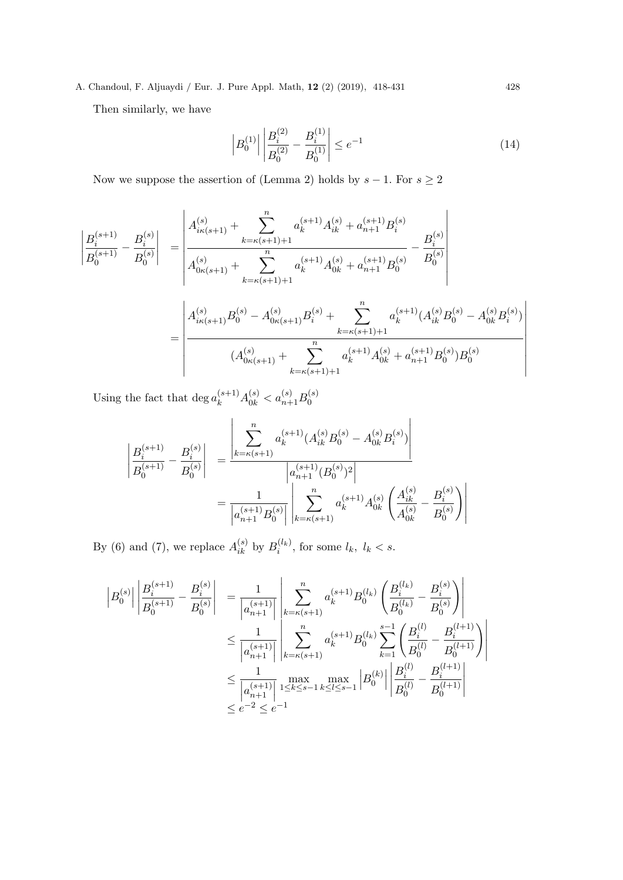Then similarly, we have

$$
\left| B_0^{(1)} \right| \left| \frac{B_i^{(2)}}{B_0^{(2)}} - \frac{B_i^{(1)}}{B_0^{(1)}} \right| \le e^{-1}
$$
\n(14)

Now we suppose the assertion of (Lemma 2) holds by  $s-1.$  For  $s\geq 2$ 

$$
\begin{split}\n\left| \frac{B_i^{(s+1)}}{B_0^{(s+1)}} - \frac{B_i^{(s)}}{B_0^{(s)}} \right| &= \left| \frac{A_{i\kappa(s+1)}^{(s)}}{A_{0\kappa(s+1)}^{(s)}} + \sum_{k=\kappa(s+1)+1}^{n} a_k^{(s+1)} A_{0k}^{(s)} + a_{n+1}^{(s+1)} B_0^{(s)}} - \frac{B_i^{(s)}}{B_0^{(s)}} \right| \\
&= \left| \frac{A_{i\kappa(s+1)}^{(s)}}{A_{i\kappa(s+1)}^{(s)}} B_0^{(s)} - A_{0\kappa(s+1)}^{(s)} B_i^{(s)} + \sum_{k=\kappa(s+1)+1}^{n} a_k^{(s+1)} (A_{ik}^{(s)} B_0^{(s)} - A_{0k}^{(s)} B_i^{(s)}) \right| \\
&\quad \left| \frac{A_{i\kappa(s+1)}^{(s)}}{(A_{0\kappa(s+1)}^{(s)} + \sum_{k=\kappa(s+1)+1}^{n} a_k^{(s+1)} A_{0k}^{(s)} + a_{n+1}^{(s+1)} B_0^{(s)}) B_0^{(s)}} \right| \\
&\quad \left| \frac{A_{i\kappa(s+1)}^{(s)}}{(A_{0\kappa(s+1)}^{(s)} + \sum_{k=\kappa(s+1)+1}^{n} a_k^{(s+1)} A_{0k}^{(s)} + a_{n+1}^{(s+1)} B_0^{(s)}) B_0^{(s)}} \right| \\
&\quad \left| \frac{A_{i\kappa(s+1)}^{(s)}}{(A_{i\kappa(s+1)}^{(s)} + \sum_{k=\kappa(s+1)+1}^{n} a_k^{(s+1)} A_{0k}^{(s)} + a_{n+1}^{(s+1)} B_0^{(s)}) B_0^{(s)}} \right| \\
&\quad \left| \frac{A_{i\kappa(s+1)}^{(s)}}{(A_{i\kappa(s+1)}^{(s)} + \sum_{k=\kappa(s+1)+1}^{n} a_k^{(s+1)} A_{0k}^{(s)} + a_{n+1}^{(s+1)} B_0^{(s)}) B_0^{(s)}} \right| \\
&\quad \left| \frac{A_{i\kappa(s+1)}^{(s)}}{(A_{i\kappa(s+1)}^{(s)} + \sum_{k=\kappa(s+1)+1}^{n}
$$

Using the fact that  $\deg a_k^{(s+1)} A_{0k}^{(s)} < a_{n+1}^{(s)} B_0^{(s)}$ 0

$$
\begin{aligned}\n\left| \frac{B_i^{(s+1)}}{B_0^{(s+1)}} - \frac{B_i^{(s)}}{B_0^{(s)}} \right| &= \frac{\left| \sum_{k=\kappa(s+1)}^n a_k^{(s+1)} (A_{ik}^{(s)} B_0^{(s)} - A_{0k}^{(s)} B_i^{(s)}) \right|}{\left| a_{n+1}^{(s+1)} (B_0^{(s)})^2 \right|} \\
&= \frac{1}{\left| a_{n+1}^{(s+1)} B_0^{(s)} \right|} \left| \sum_{k=\kappa(s+1)}^n a_k^{(s+1)} A_{0k}^{(s)} \left( \frac{A_{ik}^{(s)}}{A_{0k}^{(s)}} - \frac{B_i^{(s)}}{B_0^{(s)}} \right) \right|\n\end{aligned}
$$

By (6) and (7), we replace  $A_{ik}^{(s)}$  by  $B_i^{(l_k)}$  $i^{(l_k)}$ , for some  $l_k, l_k < s$ .

$$
\begin{split} \left| B_0^{(s)} \right| \left| \frac{B_i^{(s+1)}}{B_0^{(s+1)}} - \frac{B_i^{(s)}}{B_0^{(s)}} \right| &= \frac{1}{\left| a_{n+1}^{(s+1)} \right|} \left| \sum_{k=\kappa(s+1)}^n a_k^{(s+1)} B_0^{(l_k)} \left( \frac{B_i^{(l_k)}}{B_0^{(l_k)}} - \frac{B_i^{(s)}}{B_0^{(s)}} \right) \right| \\ &\leq \frac{1}{\left| a_{n+1}^{(s+1)} \right|} \left| \sum_{k=\kappa(s+1)}^n a_k^{(s+1)} B_0^{(l_k)} \sum_{k=1}^{s-1} \left( \frac{B_i^{(l)}}{B_0^{(l)}} - \frac{B_i^{(l+1)}}{B_0^{(l+1)}} \right) \right| \\ &\leq \frac{1}{\left| a_{n+1}^{(s+1)} \right|} \max_{1 \leq k \leq s-1} \max_{k \leq l \leq s-1} \left| B_0^{(k)} \right| \left| \frac{B_i^{(l)}}{B_0^{(l)}} - \frac{B_i^{(l+1)}}{B_0^{(l+1)}} \right| \\ &\leq e^{-2} \leq e^{-1} \end{split}
$$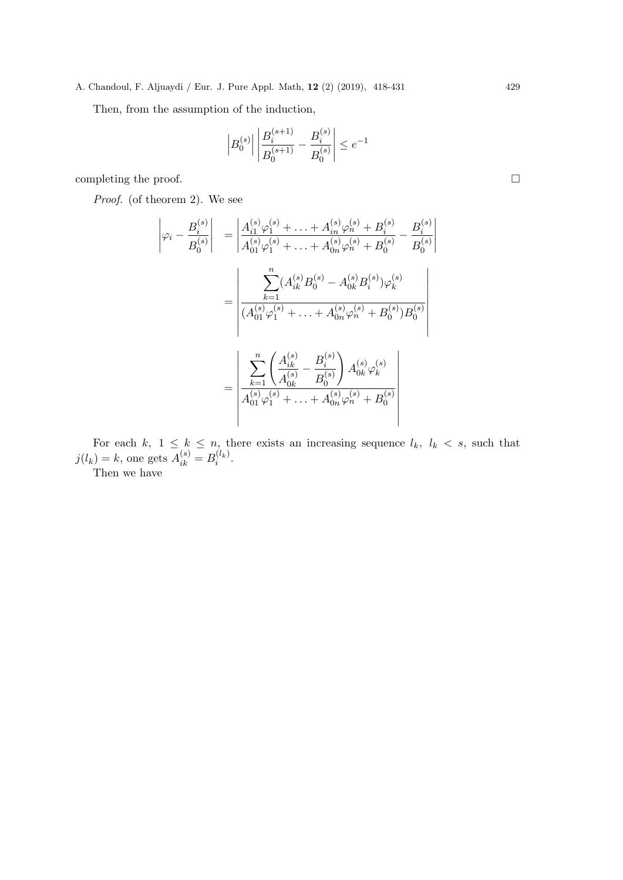Then, from the assumption of the induction,

$$
\left|B_0^{(s)}\right| \left|\frac{B_i^{(s+1)}}{B_0^{(s+1)}} - \frac{B_i^{(s)}}{B_0^{(s)}}\right| \le e^{-1}
$$

completing the proof.  $\Box$ 

Proof. (of theorem 2). We see

$$
\begin{aligned}\n\left|\varphi_{i} - \frac{B_{i}^{(s)}}{B_{0}^{(s)}}\right| &= \left|\frac{A_{i1}^{(s)}\varphi_{1}^{(s)} + \ldots + A_{in}^{(s)}\varphi_{n}^{(s)} + B_{i}^{(s)}}{A_{01}^{(s)}\varphi_{1}^{(s)} + \ldots + A_{0n}^{(s)}\varphi_{n}^{(s)} + B_{0}^{(s)}} - \frac{B_{i}^{(s)}}{B_{0}^{(s)}}\right| \\
&= \left|\frac{\sum_{k=1}^{n} (A_{ik}^{(s)}B_{0}^{(s)} - A_{0k}^{(s)}B_{i}^{(s)})\varphi_{k}^{(s)}}{(A_{01}^{(s)}\varphi_{1}^{(s)} + \ldots + A_{0n}^{(s)}\varphi_{n}^{(s)} + B_{0}^{(s)})B_{0}^{(s)}}\right| \\
&= \left|\frac{\sum_{k=1}^{n} \left(\frac{A_{ik}^{(s)}}{A_{0k}^{(s)}} - \frac{B_{i}^{(s)}}{B_{0}^{(s)}}\right)A_{0k}^{(s)}\varphi_{k}^{(s)}}{A_{01}^{(s)}\varphi_{1}^{(s)} + \ldots + A_{0n}^{(s)}\varphi_{n}^{(s)} + B_{0}^{(s)}}\right|\n\end{aligned}
$$

For each k,  $1 \leq k \leq n$ , there exists an increasing sequence  $l_k, l_k < s$ , such that  $j(l_k) = k$ , one gets  $A_{ik}^{(s)} = B_i^{(l_k)}$  $\binom{u_k}{i}$ .

Then we have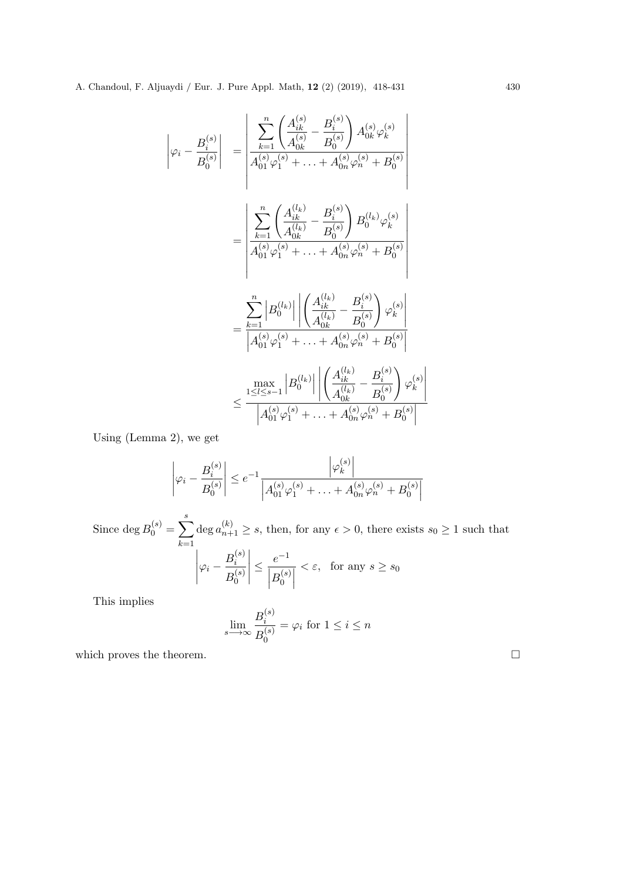$$
\varphi_{i} - \frac{B_{i}^{(s)}}{B_{0}^{(s)}} \Big| = \left| \frac{\sum_{k=1}^{n} \left( \frac{A_{ik}^{(s)}}{A_{0k}^{(s)}} - \frac{B_{i}^{(s)}}{B_{0}^{(s)}} \right) A_{0k}^{(s)} \varphi_{k}^{(s)}}{A_{01}^{(s)} \varphi_{1}^{(s)} + \dots + A_{0n}^{(s)} \varphi_{n}^{(s)} + B_{0}^{(s)}} \right|
$$
\n
$$
= \left| \frac{\sum_{k=1}^{n} \left( \frac{A_{ik}^{(l_{k})}}{A_{0k}^{(l_{k})}} - \frac{B_{i}^{(s)}}{B_{0}^{(s)}} \right) B_{0}^{(l_{k})} \varphi_{k}^{(s)}}{A_{01}^{(s)} \varphi_{1}^{(s)} + \dots + A_{0n}^{(s)} \varphi_{n}^{(s)} + B_{0}^{(s)}} \right|
$$
\n
$$
= \frac{\sum_{k=1}^{n} \left| B_{0}^{(l_{k})} \right| \left| \left( \frac{A_{ik}^{(l_{k})}}{A_{0k}^{(l_{k})}} - \frac{B_{i}^{(s)}}{B_{0}^{(s)}} \right) \varphi_{k}^{(s)}}{A_{01}^{(s)} \varphi_{1}^{(s)} + \dots + A_{0n}^{(s)} \varphi_{n}^{(s)} + B_{0}^{(s)}} \right|}
$$
\n
$$
\leq \frac{\max_{1 \leq l \leq s-1} \left| B_{0}^{(l_{k})} \right| \left| \left( \frac{A_{ik}^{(l_{k})}}{A_{0k}^{(l_{k})}} - \frac{B_{i}^{(s)}}{B_{0}^{(s)}} \right) \varphi_{k}^{(s)}}{A_{01}^{(s)} \varphi_{1}^{(s)} + \dots + A_{0n}^{(s)} \varphi_{n}^{(s)} + B_{0}^{(s)}} \right|
$$

Using (Lemma 2), we get

 $\begin{array}{c} \begin{array}{c} \begin{array}{c} \begin{array}{c} \end{array}\\ \end{array} \end{array} \end{array}$ 

$$
\left|\varphi_i - \frac{B_i^{(s)}}{B_0^{(s)}}\right| \le e^{-1} \frac{\left|\varphi_k^{(s)}\right|}{\left|A_{01}^{(s)}\varphi_1^{(s)} + \ldots + A_{0n}^{(s)}\varphi_n^{(s)} + B_0^{(s)}\right|}
$$
  
Since  $\deg B_0^{(s)} = \sum_{k=1}^s \deg a_{n+1}^{(k)} \ge s$ , then, for any  $\epsilon > 0$ , there exists  $s_0 \ge 1$  such that  

$$
\left|\varphi_i - \frac{B_i^{(s)}}{B_0^{(s)}}\right| \le \frac{e^{-1}}{\left|B_0^{(s)}\right|} < \varepsilon
$$
, for any  $s \ge s_0$ 

This implies

$$
\lim_{s \to \infty} \frac{B_i^{(s)}}{B_0^{(s)}} = \varphi_i \text{ for } 1 \le i \le n
$$

which proves the theorem.  $\hfill \Box$ 

 $\begin{array}{c} \hline \end{array}$